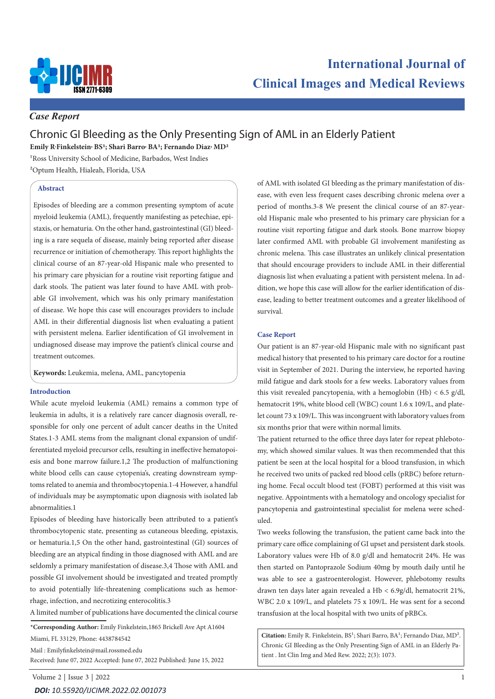

# **International Journal of Clinical Images and Medical Reviews**

### *Case Report*

## Chronic GI Bleeding as the Only Presenting Sign of AML in an Elderly Patient

**Emily R.Finkelstein, BS1; Shari Barro, BA1; Fernando Diaz, MD2**

1Ross University School of Medicine, Barbados, West Indies

2Optum Health, Hialeah, Florida, USA

#### **Abstract**

Episodes of bleeding are a common presenting symptom of acute myeloid leukemia (AML), frequently manifesting as petechiae, epistaxis, or hematuria. On the other hand, gastrointestinal (GI) bleeding is a rare sequela of disease, mainly being reported after disease recurrence or initiation of chemotherapy. This report highlights the clinical course of an 87-year-old Hispanic male who presented to his primary care physician for a routine visit reporting fatigue and dark stools. The patient was later found to have AML with probable GI involvement, which was his only primary manifestation of disease. We hope this case will encourages providers to include AML in their differential diagnosis list when evaluating a patient with persistent melena. Earlier identification of GI involvement in undiagnosed disease may improve the patient's clinical course and treatment outcomes.

**Keywords:** Leukemia, melena, AML, pancytopenia

#### **Introduction**

While acute myeloid leukemia (AML) remains a common type of leukemia in adults, it is a relatively rare cancer diagnosis overall, responsible for only one percent of adult cancer deaths in the United States.1-3 AML stems from the malignant clonal expansion of undifferentiated myeloid precursor cells, resulting in ineffective hematopoiesis and bone marrow failure.1,2 The production of malfunctioning white blood cells can cause cytopenia's, creating downstream symptoms related to anemia and thrombocytopenia.1-4 However, a handful of individuals may be asymptomatic upon diagnosis with isolated lab abnormalities.1

Episodes of bleeding have historically been attributed to a patient's thrombocytopenic state, presenting as cutaneous bleeding, epistaxis, or hematuria.1,5 On the other hand, gastrointestinal (GI) sources of bleeding are an atypical finding in those diagnosed with AML and are seldomly a primary manifestation of disease.3,4 Those with AML and possible GI involvement should be investigated and treated promptly to avoid potentially life-threatening complications such as hemorrhage, infection, and necrotizing enterocolitis.3

A limited number of publications have documented the clinical course

**\*Corresponding Author:** Emily Finkelstein,1865 Brickell Ave Apt A1604

Miami, FL 33129, Phone: 4438784542

Mail : Emilyfinkelstein@mail.rossmed.edu

Received: June 07, 2022 Accepted: June 07, 2022 Published: June 15, 2022

of AML with isolated GI bleeding as the primary manifestation of disease, with even less frequent cases describing chronic melena over a period of months.3-8 We present the clinical course of an 87-yearold Hispanic male who presented to his primary care physician for a routine visit reporting fatigue and dark stools. Bone marrow biopsy later confirmed AML with probable GI involvement manifesting as chronic melena. This case illustrates an unlikely clinical presentation that should encourage providers to include AML in their differential diagnosis list when evaluating a patient with persistent melena. In addition, we hope this case will allow for the earlier identification of disease, leading to better treatment outcomes and a greater likelihood of survival.

#### **Case Report**

Our patient is an 87-year-old Hispanic male with no significant past medical history that presented to his primary care doctor for a routine visit in September of 2021. During the interview, he reported having mild fatigue and dark stools for a few weeks. Laboratory values from this visit revealed pancytopenia, with a hemoglobin  $(Hb) < 6.5$  g/dl, hematocrit 19%, white blood cell (WBC) count 1.6 x 109/L, and platelet count 73 x 109/L. This was incongruent with laboratory values from six months prior that were within normal limits.

The patient returned to the office three days later for repeat phlebotomy, which showed similar values. It was then recommended that this patient be seen at the local hospital for a blood transfusion, in which he received two units of packed red blood cells (pRBC) before returning home. Fecal occult blood test (FOBT) performed at this visit was negative. Appointments with a hematology and oncology specialist for pancytopenia and gastrointestinal specialist for melena were scheduled.

Two weeks following the transfusion, the patient came back into the primary care office complaining of GI upset and persistent dark stools. Laboratory values were Hb of 8.0 g/dl and hematocrit 24%. He was then started on Pantoprazole Sodium 40mg by mouth daily until he was able to see a gastroenterologist. However, phlebotomy results drawn ten days later again revealed a Hb < 6.9g/dl, hematocrit 21%, WBC 2.0 x 109/L, and platelets 75 x 109/L. He was sent for a second transfusion at the local hospital with two units of pRBCs.

**Citation:** Emily R. Finkelstein, BS1; Shari Barro, BA1; Fernando Diaz, MD2. Chronic GI Bleeding as the Only Presenting Sign of AML in an Elderly Patient . Int Clin Img and Med Rew. 2022; 2(3): 1073.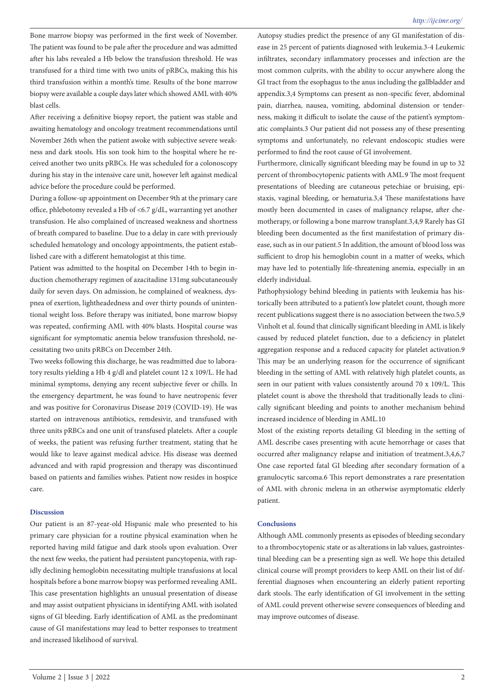Bone marrow biopsy was performed in the first week of November. The patient was found to be pale after the procedure and was admitted after his labs revealed a Hb below the transfusion threshold. He was transfused for a third time with two units of pRBCs, making this his third transfusion within a month's time. Results of the bone marrow biopsy were available a couple days later which showed AML with 40% blast cells.

After receiving a definitive biopsy report, the patient was stable and awaiting hematology and oncology treatment recommendations until November 26th when the patient awoke with subjective severe weakness and dark stools. His son took him to the hospital where he received another two units pRBCs. He was scheduled for a colonoscopy during his stay in the intensive care unit, however left against medical advice before the procedure could be performed.

During a follow-up appointment on December 9th at the primary care office, phlebotomy revealed a Hb of <6.7 g/dL, warranting yet another transfusion. He also complained of increased weakness and shortness of breath compared to baseline. Due to a delay in care with previously scheduled hematology and oncology appointments, the patient established care with a different hematologist at this time.

Patient was admitted to the hospital on December 14th to begin induction chemotherapy regimen of azacitadine 131mg subcutaneously daily for seven days. On admission, he complained of weakness, dyspnea of exertion, lightheadedness and over thirty pounds of unintentional weight loss. Before therapy was initiated, bone marrow biopsy was repeated, confirming AML with 40% blasts. Hospital course was significant for symptomatic anemia below transfusion threshold, necessitating two units pRBCs on December 24th.

Two weeks following this discharge, he was readmitted due to laboratory results yielding a Hb 4 g/dl and platelet count 12 x 109/L. He had minimal symptoms, denying any recent subjective fever or chills. In the emergency department, he was found to have neutropenic fever and was positive for Coronavirus Disease 2019 (COVID-19). He was started on intravenous antibiotics, remdesivir, and transfused with three units pRBCs and one unit of transfused platelets. After a couple of weeks, the patient was refusing further treatment, stating that he would like to leave against medical advice. His disease was deemed advanced and with rapid progression and therapy was discontinued based on patients and families wishes. Patient now resides in hospice care.

#### **Discussion**

Our patient is an 87-year-old Hispanic male who presented to his primary care physician for a routine physical examination when he reported having mild fatigue and dark stools upon evaluation. Over the next few weeks, the patient had persistent pancytopenia, with rapidly declining hemoglobin necessitating multiple transfusions at local hospitals before a bone marrow biopsy was performed revealing AML. This case presentation highlights an unusual presentation of disease and may assist outpatient physicians in identifying AML with isolated signs of GI bleeding. Early identification of AML as the predominant cause of GI manifestations may lead to better responses to treatment and increased likelihood of survival.

Autopsy studies predict the presence of any GI manifestation of disease in 25 percent of patients diagnosed with leukemia.3-4 Leukemic infiltrates, secondary inflammatory processes and infection are the most common culprits, with the ability to occur anywhere along the GI tract from the esophagus to the anus including the gallbladder and appendix.3,4 Symptoms can present as non-specific fever, abdominal pain, diarrhea, nausea, vomiting, abdominal distension or tenderness, making it difficult to isolate the cause of the patient's symptomatic complaints.3 Our patient did not possess any of these presenting symptoms and unfortunately, no relevant endoscopic studies were performed to find the root cause of GI involvement.

Furthermore, clinically significant bleeding may be found in up to 32 percent of thrombocytopenic patients with AML.9 The most frequent presentations of bleeding are cutaneous petechiae or bruising, epistaxis, vaginal bleeding, or hematuria.3,4 These manifestations have mostly been documented in cases of malignancy relapse, after chemotherapy, or following a bone marrow transplant.3,4,9 Rarely has GI bleeding been documented as the first manifestation of primary disease, such as in our patient.5 In addition, the amount of blood loss was sufficient to drop his hemoglobin count in a matter of weeks, which may have led to potentially life-threatening anemia, especially in an elderly individual.

Pathophysiology behind bleeding in patients with leukemia has historically been attributed to a patient's low platelet count, though more recent publications suggest there is no association between the two.5,9 Vinholt et al. found that clinically significant bleeding in AML is likely caused by reduced platelet function, due to a deficiency in platelet aggregation response and a reduced capacity for platelet activation.9 This may be an underlying reason for the occurrence of significant bleeding in the setting of AML with relatively high platelet counts, as seen in our patient with values consistently around 70 x 109/L. This platelet count is above the threshold that traditionally leads to clinically significant bleeding and points to another mechanism behind increased incidence of bleeding in AML.10

Most of the existing reports detailing GI bleeding in the setting of AML describe cases presenting with acute hemorrhage or cases that occurred after malignancy relapse and initiation of treatment.3,4,6,7 One case reported fatal GI bleeding after secondary formation of a granulocytic sarcoma.6 This report demonstrates a rare presentation of AML with chronic melena in an otherwise asymptomatic elderly patient.

#### **Conclusions**

Although AML commonly presents as episodes of bleeding secondary to a thrombocytopenic state or as alterations in lab values, gastrointestinal bleeding can be a presenting sign as well. We hope this detailed clinical course will prompt providers to keep AML on their list of differential diagnoses when encountering an elderly patient reporting dark stools. The early identification of GI involvement in the setting of AML could prevent otherwise severe consequences of bleeding and may improve outcomes of disease.